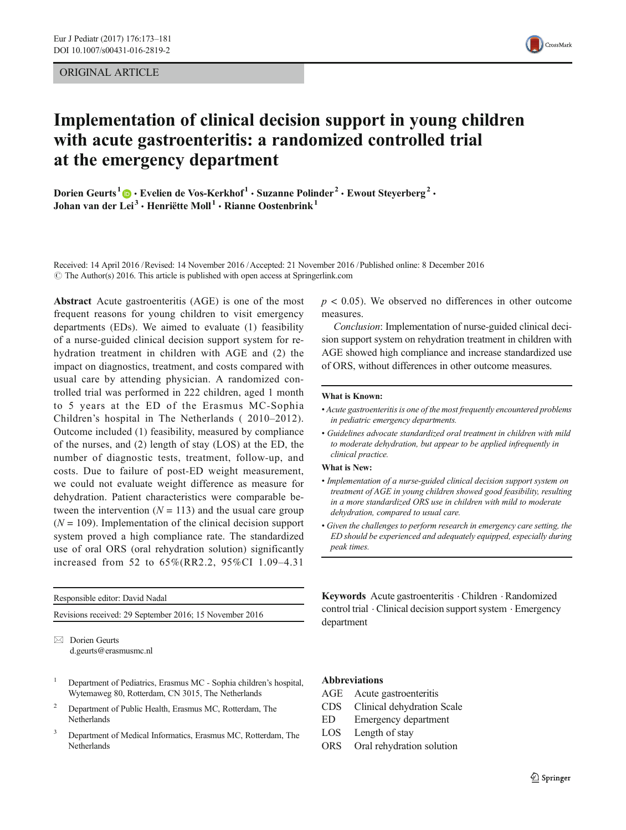ORIGINAL ARTICLE



# Implementation of clinical decision support in young children with acute gastroenteritis: a randomized controlled trial at the emergency department

Dorien Geurts<sup>1</sup>  $\cdot$  Evelien de Vos-Kerkhof<sup>1</sup>  $\cdot$  Suzanne Polinder<sup>2</sup>  $\cdot$  Ewout Steyerberg<sup>2</sup>  $\cdot$ Johan van der Lei $^3\cdot$ Henriëtte Moll $^1\cdot$  Rianne Oostenbrink $^1$ 

Received: 14 April 2016 /Revised: 14 November 2016 /Accepted: 21 November 2016 /Published online: 8 December 2016  $\odot$  The Author(s) 2016. This article is published with open access at Springerlink.com

Abstract Acute gastroenteritis (AGE) is one of the most frequent reasons for young children to visit emergency departments (EDs). We aimed to evaluate (1) feasibility of a nurse-guided clinical decision support system for rehydration treatment in children with AGE and (2) the impact on diagnostics, treatment, and costs compared with usual care by attending physician. A randomized controlled trial was performed in 222 children, aged 1 month to 5 years at the ED of the Erasmus MC-Sophia Children's hospital in The Netherlands ( 2010–2012). Outcome included (1) feasibility, measured by compliance of the nurses, and (2) length of stay (LOS) at the ED, the number of diagnostic tests, treatment, follow-up, and costs. Due to failure of post-ED weight measurement, we could not evaluate weight difference as measure for dehydration. Patient characteristics were comparable between the intervention  $(N = 113)$  and the usual care group  $(N = 109)$ . Implementation of the clinical decision support system proved a high compliance rate. The standardized use of oral ORS (oral rehydration solution) significantly increased from 52 to 65%(RR2.2, 95%CI 1.09–4.31

Responsible editor: David Nadal

Revisions received: 29 September 2016; 15 November 2016

 $\boxtimes$  Dorien Geurts d.geurts@erasmusmc.nl

- <sup>1</sup> Department of Pediatrics, Erasmus MC Sophia children's hospital, Wytemaweg 80, Rotterdam, CN 3015, The Netherlands
- <sup>2</sup> Department of Public Health, Erasmus MC, Rotterdam, The **Netherlands**
- <sup>3</sup> Department of Medical Informatics, Erasmus MC, Rotterdam, The Netherlands

 $p < 0.05$ ). We observed no differences in other outcome measures.

Conclusion: Implementation of nurse-guided clinical decision support system on rehydration treatment in children with AGE showed high compliance and increase standardized use of ORS, without differences in other outcome measures.

#### What is Known:

- Acute gastroenteritis is one of the most frequently encountered problems in pediatric emergency departments.
- Guidelines advocate standardized oral treatment in children with mild to moderate dehydration, but appear to be applied infrequently in clinical practice.

#### What is New:

- Implementation of a nurse-guided clinical decision support system on treatment of AGE in young children showed good feasibility, resulting in a more standardized ORS use in children with mild to moderate dehydration, compared to usual care.
- Given the challenges to perform research in emergency care setting, the ED should be experienced and adequately equipped, especially during peak times.

Keywords Acute gastroenteritis . Children . Randomized control trial . Clinical decision support system . Emergency department

# Abbreviations

- AGE Acute gastroenteritis
- CDS Clinical dehydration Scale
- ED Emergency department
- LOS Length of stay
- ORS Oral rehydration solution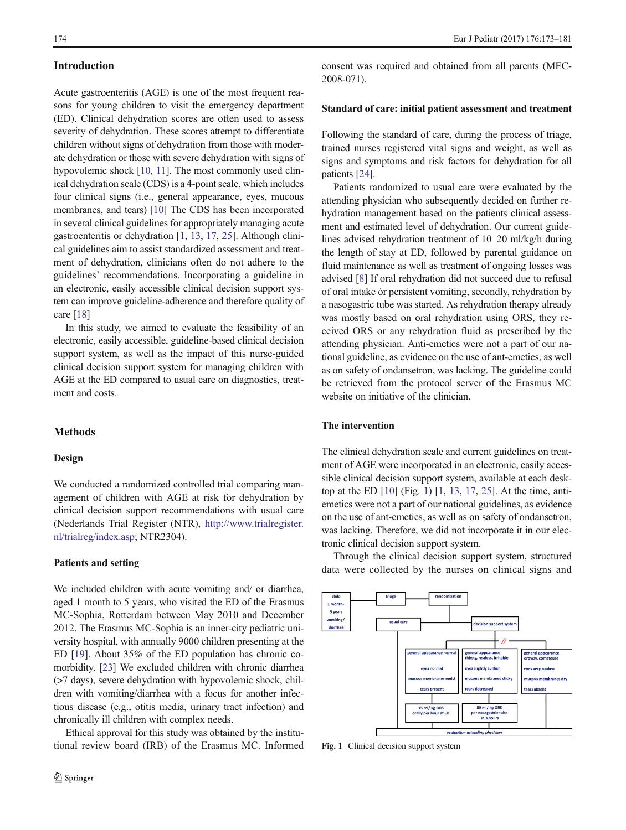# <span id="page-1-0"></span>Introduction

Acute gastroenteritis (AGE) is one of the most frequent reasons for young children to visit the emergency department (ED). Clinical dehydration scores are often used to assess severity of dehydration. These scores attempt to differentiate children without signs of dehydration from those with moderate dehydration or those with severe dehydration with signs of hypovolemic shock [\[10](#page-8-0), [11\]](#page-8-0). The most commonly used clinical dehydration scale (CDS) is a 4-point scale, which includes four clinical signs (i.e., general appearance, eyes, mucous membranes, and tears) [\[10\]](#page-8-0) The CDS has been incorporated in several clinical guidelines for appropriately managing acute gastroenteritis or dehydration [\[1,](#page-7-0) [13,](#page-8-0) [17](#page-8-0), [25](#page-8-0)]. Although clinical guidelines aim to assist standardized assessment and treatment of dehydration, clinicians often do not adhere to the guidelines' recommendations. Incorporating a guideline in an electronic, easily accessible clinical decision support system can improve guideline-adherence and therefore quality of care [[18\]](#page-8-0)

In this study, we aimed to evaluate the feasibility of an electronic, easily accessible, guideline-based clinical decision support system, as well as the impact of this nurse-guided clinical decision support system for managing children with AGE at the ED compared to usual care on diagnostics, treatment and costs.

# **Methods**

#### Design

We conducted a randomized controlled trial comparing management of children with AGE at risk for dehydration by clinical decision support recommendations with usual care (Nederlands Trial Register (NTR), http://www.trialregister. nl/trialreg/index.asp; NTR2304).

#### Patients and setting

We included children with acute vomiting and/ or diarrhea, aged 1 month to 5 years, who visited the ED of the Erasmus MC-Sophia, Rotterdam between May 2010 and December 2012. The Erasmus MC-Sophia is an inner-city pediatric university hospital, with annually 9000 children presenting at the ED [[19\]](#page-8-0). About 35% of the ED population has chronic comorbidity. [[23](#page-8-0)] We excluded children with chronic diarrhea (>7 days), severe dehydration with hypovolemic shock, children with vomiting/diarrhea with a focus for another infectious disease (e.g., otitis media, urinary tract infection) and chronically ill children with complex needs.

Ethical approval for this study was obtained by the institutional review board (IRB) of the Erasmus MC. Informed consent was required and obtained from all parents (MEC-2008-071).

#### Standard of care: initial patient assessment and treatment

Following the standard of care, during the process of triage, trained nurses registered vital signs and weight, as well as signs and symptoms and risk factors for dehydration for all patients [[24\]](#page-8-0).

Patients randomized to usual care were evaluated by the attending physician who subsequently decided on further rehydration management based on the patients clinical assessment and estimated level of dehydration. Our current guidelines advised rehydration treatment of 10–20 ml/kg/h during the length of stay at ED, followed by parental guidance on fluid maintenance as well as treatment of ongoing losses was advised [[8\]](#page-8-0) If oral rehydration did not succeed due to refusal of oral intake ór persistent vomiting, secondly, rehydration by a nasogastric tube was started. As rehydration therapy already was mostly based on oral rehydration using ORS, they received ORS or any rehydration fluid as prescribed by the attending physician. Anti-emetics were not a part of our national guideline, as evidence on the use of ant-emetics, as well as on safety of ondansetron, was lacking. The guideline could be retrieved from the protocol server of the Erasmus MC website on initiative of the clinician.

# The intervention

The clinical dehydration scale and current guidelines on treatment of AGE were incorporated in an electronic, easily accessible clinical decision support system, available at each desktop at the ED [[10](#page-8-0)] (Fig. [1\)](#page-3-0) [\[1](#page-7-0), [13](#page-8-0), [17,](#page-8-0) [25\]](#page-8-0). At the time, antiemetics were not a part of our national guidelines, as evidence on the use of ant-emetics, as well as on safety of ondansetron, was lacking. Therefore, we did not incorporate it in our electronic clinical decision support system.

Through the clinical decision support system, structured data were collected by the nurses on clinical signs and



Fig. 1 Clinical decision support system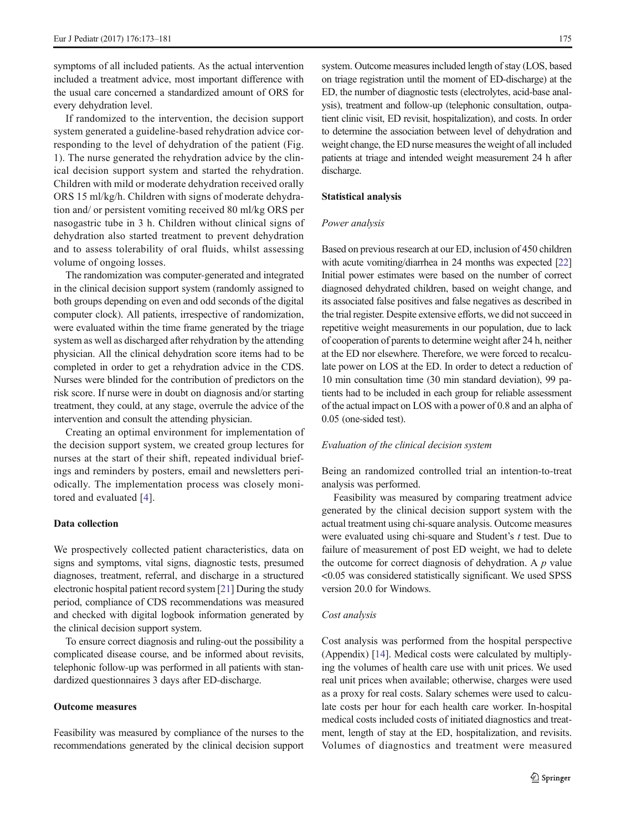symptoms of all included patients. As the actual intervention included a treatment advice, most important difference with the usual care concerned a standardized amount of ORS for every dehydration level.

If randomized to the intervention, the decision support system generated a guideline-based rehydration advice corresponding to the level of dehydration of the patient (Fig. 1). The nurse generated the rehydration advice by the clinical decision support system and started the rehydration. Children with mild or moderate dehydration received orally ORS 15 ml/kg/h. Children with signs of moderate dehydration and/ or persistent vomiting received 80 ml/kg ORS per nasogastric tube in 3 h. Children without clinical signs of dehydration also started treatment to prevent dehydration and to assess tolerability of oral fluids, whilst assessing volume of ongoing losses.

The randomization was computer-generated and integrated in the clinical decision support system (randomly assigned to both groups depending on even and odd seconds of the digital computer clock). All patients, irrespective of randomization, were evaluated within the time frame generated by the triage system as well as discharged after rehydration by the attending physician. All the clinical dehydration score items had to be completed in order to get a rehydration advice in the CDS. Nurses were blinded for the contribution of predictors on the risk score. If nurse were in doubt on diagnosis and/or starting treatment, they could, at any stage, overrule the advice of the intervention and consult the attending physician.

Creating an optimal environment for implementation of the decision support system, we created group lectures for nurses at the start of their shift, repeated individual briefings and reminders by posters, email and newsletters periodically. The implementation process was closely monitored and evaluated [[4\]](#page-8-0).

# Data collection

We prospectively collected patient characteristics, data on signs and symptoms, vital signs, diagnostic tests, presumed diagnoses, treatment, referral, and discharge in a structured electronic hospital patient record system [[21\]](#page-8-0) During the study period, compliance of CDS recommendations was measured and checked with digital logbook information generated by the clinical decision support system.

To ensure correct diagnosis and ruling-out the possibility a complicated disease course, and be informed about revisits, telephonic follow-up was performed in all patients with standardized questionnaires 3 days after ED-discharge.

# Outcome measures

Feasibility was measured by compliance of the nurses to the recommendations generated by the clinical decision support system. Outcome measures included length of stay (LOS, based on triage registration until the moment of ED-discharge) at the ED, the number of diagnostic tests (electrolytes, acid-base analysis), treatment and follow-up (telephonic consultation, outpatient clinic visit, ED revisit, hospitalization), and costs. In order to determine the association between level of dehydration and weight change, the ED nurse measures the weight of all included patients at triage and intended weight measurement 24 h after discharge.

#### Statistical analysis

#### Power analysis

Based on previous research at our ED, inclusion of 450 children with acute vomiting/diarrhea in 24 months was expected [\[22](#page-8-0)] Initial power estimates were based on the number of correct diagnosed dehydrated children, based on weight change, and its associated false positives and false negatives as described in the trial register. Despite extensive efforts, we did not succeed in repetitive weight measurements in our population, due to lack of cooperation of parents to determine weight after 24 h, neither at the ED nor elsewhere. Therefore, we were forced to recalculate power on LOS at the ED. In order to detect a reduction of 10 min consultation time (30 min standard deviation), 99 patients had to be included in each group for reliable assessment of the actual impact on LOS with a power of 0.8 and an alpha of 0.05 (one-sided test).

# Evaluation of the clinical decision system

Being an randomized controlled trial an intention-to-treat analysis was performed.

Feasibility was measured by comparing treatment advice generated by the clinical decision support system with the actual treatment using chi-square analysis. Outcome measures were evaluated using chi-square and Student's t test. Due to failure of measurement of post ED weight, we had to delete the outcome for correct diagnosis of dehydration. A  $p$  value <0.05 was considered statistically significant. We used SPSS version 20.0 for Windows.

#### Cost analysis

Cost analysis was performed from the hospital perspective (Appendix) [[14\]](#page-8-0). Medical costs were calculated by multiplying the volumes of health care use with unit prices. We used real unit prices when available; otherwise, charges were used as a proxy for real costs. Salary schemes were used to calculate costs per hour for each health care worker. In-hospital medical costs included costs of initiated diagnostics and treatment, length of stay at the ED, hospitalization, and revisits. Volumes of diagnostics and treatment were measured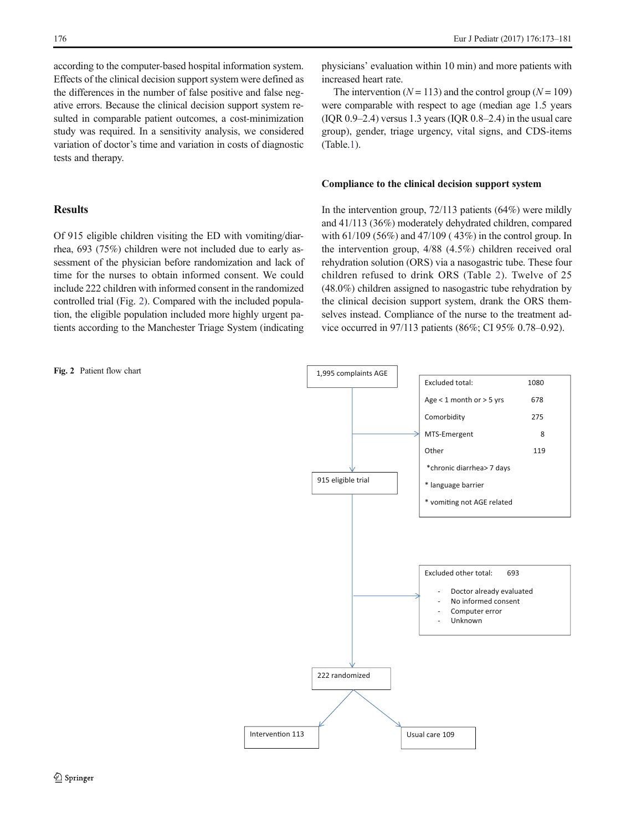<span id="page-3-0"></span>according to the computer-based hospital information system. Effects of the clinical decision support system were defined as the differences in the number of false positive and false negative errors. Because the clinical decision support system resulted in comparable patient outcomes, a cost-minimization study was required. In a sensitivity analysis, we considered variation of doctor's time and variation in costs of diagnostic tests and therapy.

# **Results**

Of 915 eligible children visiting the ED with vomiting/diarrhea, 693 (75%) children were not included due to early assessment of the physician before randomization and lack of time for the nurses to obtain informed consent. We could include 222 children with informed consent in the randomized controlled trial (Fig. [2](#page-1-0)). Compared with the included population, the eligible population included more highly urgent patients according to the Manchester Triage System (indicating

Fig. 2 Patient flow chart

physicians' evaluation within 10 min) and more patients with increased heart rate.

The intervention ( $N = 113$ ) and the control group ( $N = 109$ ) were comparable with respect to age (median age 1.5 years  $( IQR 0.9–2.4)$  versus 1.3 years  $( IQR 0.8–2.4)$  in the usual care group), gender, triage urgency, vital signs, and CDS-items (Table[.1\)](#page-4-0).

# Compliance to the clinical decision support system

In the intervention group,  $72/113$  patients  $(64%)$  were mildly and 41/113 (36%) moderately dehydrated children, compared with 61/109 (56%) and 47/109 ( 43%) in the control group. In the intervention group, 4/88 (4.5%) children received oral rehydration solution (ORS) via a nasogastric tube. These four children refused to drink ORS (Table [2\)](#page-5-0). Twelve of 25 (48.0%) children assigned to nasogastric tube rehydration by the clinical decision support system, drank the ORS themselves instead. Compliance of the nurse to the treatment advice occurred in 97/113 patients (86%; CI 95% 0.78–0.92).

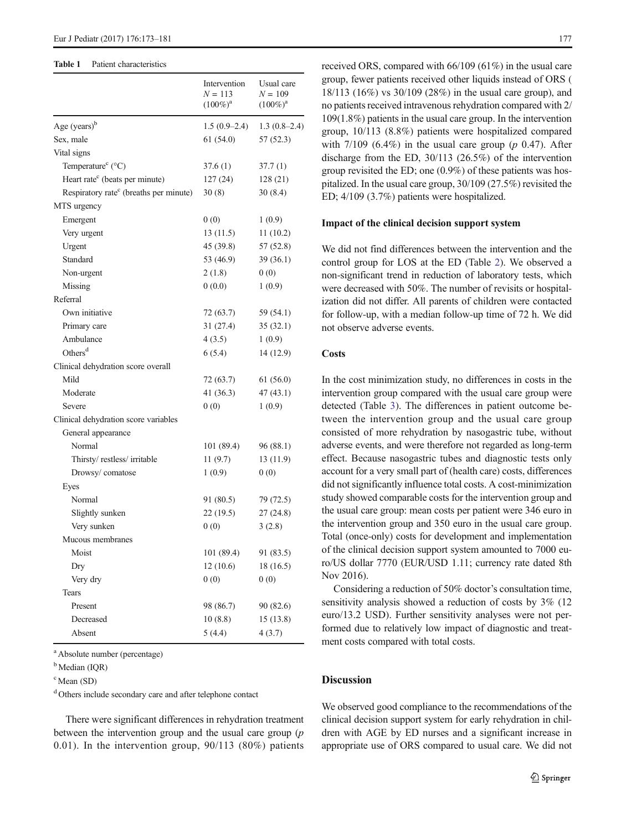#### <span id="page-4-0"></span>Table 1 Patient characteristics

|                                                    | Intervention<br>$N = 113$<br>$(100\%)^{\rm a}$ | Usual care<br>$N = 109$<br>$(100\%)^a$ |
|----------------------------------------------------|------------------------------------------------|----------------------------------------|
| Age $(years)^{b}$                                  | $1.5(0.9-2.4)$                                 | $1.3(0.8-2.4)$                         |
| Sex, male                                          | 61(54.0)                                       | 57(52.3)                               |
| Vital signs                                        |                                                |                                        |
| Temperature <sup>c</sup> (°C)                      | 37.6(1)                                        | 37.7 (1)                               |
| Heart rate <sup>c</sup> (beats per minute)         | 127(24)                                        | 128(21)                                |
| Respiratory rate <sup>c</sup> (breaths per minute) | 30(8)                                          | 30(8.4)                                |
| MTS urgency                                        |                                                |                                        |
| Emergent                                           | 0(0)                                           | 1(0.9)                                 |
| Very urgent                                        | 13(11.5)                                       | 11(10.2)                               |
| Urgent                                             | 45 (39.8)                                      | 57 (52.8)                              |
| Standard                                           | 53 (46.9)                                      | 39 (36.1)                              |
| Non-urgent                                         | 2(1.8)                                         | 0(0)                                   |
| Missing                                            | 0(0.0)                                         | 1(0.9)                                 |
| Referral                                           |                                                |                                        |
| Own initiative                                     | 72 (63.7)                                      | 59 (54.1)                              |
| Primary care                                       | 31(27.4)                                       | 35(32.1)                               |
| Ambulance                                          | 4(3.5)                                         | 1(0.9)                                 |
| Others <sup>d</sup>                                | 6(5.4)                                         | 14 (12.9)                              |
| Clinical dehydration score overall                 |                                                |                                        |
| Mild                                               | 72 (63.7)                                      | 61(56.0)                               |
| Moderate                                           | 41 (36.3)                                      | 47 (43.1)                              |
| Severe                                             | 0(0)                                           | 1(0.9)                                 |
| Clinical dehydration score variables               |                                                |                                        |
| General appearance                                 |                                                |                                        |
| Normal                                             | 101 (89.4)                                     | 96 (88.1)                              |
| Thirsty/restless/irritable                         | 11(9.7)                                        | 13 (11.9)                              |
| Drowsy/comatose                                    | 1(0.9)                                         | 0(0)                                   |
| Eyes                                               |                                                |                                        |
| Normal                                             | 91 (80.5)                                      | 79 (72.5)                              |
| Slightly sunken                                    | 22(19.5)                                       | 27(24.8)                               |
| Very sunken                                        | 0(0)                                           | 3(2.8)                                 |
| Mucous membranes                                   |                                                |                                        |
| Moist                                              | 101 (89.4)                                     | 91 (83.5)                              |
| Dry                                                | 12(10.6)                                       | 18 (16.5)                              |
| Very dry                                           | 0(0)                                           | 0(0)                                   |
| Tears                                              |                                                |                                        |
| Present                                            | 98 (86.7)                                      | 90 (82.6)                              |
| Decreased                                          | 10(8.8)                                        | 15(13.8)                               |
| Absent                                             | 5(4.4)                                         | 4(3.7)                                 |

a Absolute number (percentage)

<sup>b</sup> Median (IOR)

c Mean (SD)

<sup>d</sup> Others include secondary care and after telephone contact

There were significant differences in rehydration treatment between the intervention group and the usual care group  $(p)$ 0.01). In the intervention group, 90/113 (80%) patients received ORS, compared with 66/109 (61%) in the usual care group, fewer patients received other liquids instead of ORS ( 18/113 (16%) vs 30/109 (28%) in the usual care group), and no patients received intravenous rehydration compared with 2/ 109(1.8%) patients in the usual care group. In the intervention group, 10/113 (8.8%) patients were hospitalized compared with  $7/109$  (6.4%) in the usual care group (p 0.47). After discharge from the ED, 30/113 (26.5%) of the intervention group revisited the ED; one (0.9%) of these patients was hospitalized. In the usual care group, 30/109 (27.5%) revisited the ED; 4/109 (3.7%) patients were hospitalized.

#### Impact of the clinical decision support system

We did not find differences between the intervention and the control group for LOS at the ED (Table [2\)](#page-5-0). We observed a non-significant trend in reduction of laboratory tests, which were decreased with 50%. The number of revisits or hospitalization did not differ. All parents of children were contacted for follow-up, with a median follow-up time of 72 h. We did not observe adverse events.

# **Costs**

In the cost minimization study, no differences in costs in the intervention group compared with the usual care group were detected (Table [3](#page-6-0)). The differences in patient outcome between the intervention group and the usual care group consisted of more rehydration by nasogastric tube, without adverse events, and were therefore not regarded as long-term effect. Because nasogastric tubes and diagnostic tests only account for a very small part of (health care) costs, differences did not significantly influence total costs. A cost-minimization study showed comparable costs for the intervention group and the usual care group: mean costs per patient were 346 euro in the intervention group and 350 euro in the usual care group. Total (once-only) costs for development and implementation of the clinical decision support system amounted to 7000 euro/US dollar 7770 (EUR/USD 1.11; currency rate dated 8th Nov 2016).

Considering a reduction of 50% doctor's consultation time, sensitivity analysis showed a reduction of costs by 3% (12 euro/13.2 USD). Further sensitivity analyses were not performed due to relatively low impact of diagnostic and treatment costs compared with total costs.

# **Discussion**

We observed good compliance to the recommendations of the clinical decision support system for early rehydration in children with AGE by ED nurses and a significant increase in appropriate use of ORS compared to usual care. We did not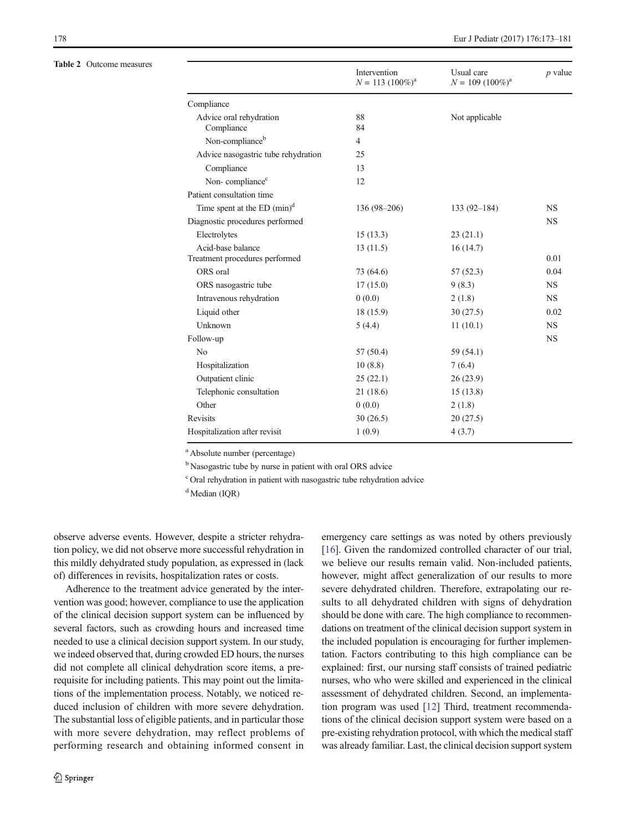<span id="page-5-0"></span>Table 2 Outcome measures

| Compliance<br>88<br>Advice oral rehydration<br>Not applicable<br>Compliance<br>84<br>Non-compliance <sup>b</sup><br>$\overline{4}$<br>Advice nasogastric tube rehydration<br>25<br>Compliance<br>13<br>Non-compliance <sup>c</sup><br>12<br>Patient consultation time<br>Time spent at the ED $(min)^d$<br>$136(98-206)$<br>$133(92 - 184)$<br><b>NS</b><br>Diagnostic procedures performed<br><b>NS</b><br>Electrolytes<br>15(13.3)<br>23(21.1)<br>Acid-base balance<br>13(11.5)<br>16(14.7)<br>Treatment procedures performed<br>ORS oral<br>73 (64.6)<br>57(52.3)<br>ORS nasogastric tube<br>17(15.0)<br>9(8.3)<br><b>NS</b><br>Intravenous rehydration<br>0(0.0)<br><b>NS</b><br>2(1.8)<br>Liquid other<br>18 (15.9)<br>30(27.5)<br>Unknown<br>5(4.4)<br>11(10.1)<br><b>NS</b><br><b>NS</b><br>Follow-up<br>No<br>57 (50.4)<br>59 (54.1)<br>Hospitalization<br>10(8.8)<br>7(6.4)<br>Outpatient clinic<br>25(22.1)<br>26(23.9) | Intervention<br>$N = 113 (100\%)^a$ | Usual care<br>$N = 109 (100\%)^a$ | $p$ value |
|-----------------------------------------------------------------------------------------------------------------------------------------------------------------------------------------------------------------------------------------------------------------------------------------------------------------------------------------------------------------------------------------------------------------------------------------------------------------------------------------------------------------------------------------------------------------------------------------------------------------------------------------------------------------------------------------------------------------------------------------------------------------------------------------------------------------------------------------------------------------------------------------------------------------------------------|-------------------------------------|-----------------------------------|-----------|
|                                                                                                                                                                                                                                                                                                                                                                                                                                                                                                                                                                                                                                                                                                                                                                                                                                                                                                                                   |                                     |                                   |           |
|                                                                                                                                                                                                                                                                                                                                                                                                                                                                                                                                                                                                                                                                                                                                                                                                                                                                                                                                   |                                     |                                   |           |
|                                                                                                                                                                                                                                                                                                                                                                                                                                                                                                                                                                                                                                                                                                                                                                                                                                                                                                                                   |                                     |                                   |           |
|                                                                                                                                                                                                                                                                                                                                                                                                                                                                                                                                                                                                                                                                                                                                                                                                                                                                                                                                   |                                     |                                   |           |
|                                                                                                                                                                                                                                                                                                                                                                                                                                                                                                                                                                                                                                                                                                                                                                                                                                                                                                                                   |                                     |                                   |           |
|                                                                                                                                                                                                                                                                                                                                                                                                                                                                                                                                                                                                                                                                                                                                                                                                                                                                                                                                   |                                     |                                   |           |
|                                                                                                                                                                                                                                                                                                                                                                                                                                                                                                                                                                                                                                                                                                                                                                                                                                                                                                                                   |                                     |                                   |           |
|                                                                                                                                                                                                                                                                                                                                                                                                                                                                                                                                                                                                                                                                                                                                                                                                                                                                                                                                   |                                     |                                   |           |
|                                                                                                                                                                                                                                                                                                                                                                                                                                                                                                                                                                                                                                                                                                                                                                                                                                                                                                                                   |                                     |                                   |           |
|                                                                                                                                                                                                                                                                                                                                                                                                                                                                                                                                                                                                                                                                                                                                                                                                                                                                                                                                   |                                     |                                   |           |
|                                                                                                                                                                                                                                                                                                                                                                                                                                                                                                                                                                                                                                                                                                                                                                                                                                                                                                                                   |                                     |                                   |           |
|                                                                                                                                                                                                                                                                                                                                                                                                                                                                                                                                                                                                                                                                                                                                                                                                                                                                                                                                   |                                     |                                   | 0.01      |
|                                                                                                                                                                                                                                                                                                                                                                                                                                                                                                                                                                                                                                                                                                                                                                                                                                                                                                                                   |                                     |                                   | 0.04      |
|                                                                                                                                                                                                                                                                                                                                                                                                                                                                                                                                                                                                                                                                                                                                                                                                                                                                                                                                   |                                     |                                   |           |
|                                                                                                                                                                                                                                                                                                                                                                                                                                                                                                                                                                                                                                                                                                                                                                                                                                                                                                                                   |                                     |                                   |           |
|                                                                                                                                                                                                                                                                                                                                                                                                                                                                                                                                                                                                                                                                                                                                                                                                                                                                                                                                   |                                     |                                   | 0.02      |
|                                                                                                                                                                                                                                                                                                                                                                                                                                                                                                                                                                                                                                                                                                                                                                                                                                                                                                                                   |                                     |                                   |           |
|                                                                                                                                                                                                                                                                                                                                                                                                                                                                                                                                                                                                                                                                                                                                                                                                                                                                                                                                   |                                     |                                   |           |
|                                                                                                                                                                                                                                                                                                                                                                                                                                                                                                                                                                                                                                                                                                                                                                                                                                                                                                                                   |                                     |                                   |           |
|                                                                                                                                                                                                                                                                                                                                                                                                                                                                                                                                                                                                                                                                                                                                                                                                                                                                                                                                   |                                     |                                   |           |
|                                                                                                                                                                                                                                                                                                                                                                                                                                                                                                                                                                                                                                                                                                                                                                                                                                                                                                                                   |                                     |                                   |           |
| Telephonic consultation<br>21(18.6)<br>15(13.8)                                                                                                                                                                                                                                                                                                                                                                                                                                                                                                                                                                                                                                                                                                                                                                                                                                                                                   |                                     |                                   |           |
| Other<br>0(0.0)<br>2(1.8)                                                                                                                                                                                                                                                                                                                                                                                                                                                                                                                                                                                                                                                                                                                                                                                                                                                                                                         |                                     |                                   |           |
| <b>Revisits</b><br>30(26.5)<br>20(27.5)                                                                                                                                                                                                                                                                                                                                                                                                                                                                                                                                                                                                                                                                                                                                                                                                                                                                                           |                                     |                                   |           |
| Hospitalization after revisit<br>1(0.9)<br>4(3.7)                                                                                                                                                                                                                                                                                                                                                                                                                                                                                                                                                                                                                                                                                                                                                                                                                                                                                 |                                     |                                   |           |

<sup>a</sup> Absolute number (percentage)

<sup>b</sup> Nasogastric tube by nurse in patient with oral ORS advice

<sup>c</sup> Oral rehydration in patient with nasogastric tube rehydration advice

<sup>d</sup> Median (IQR)

observe adverse events. However, despite a stricter rehydration policy, we did not observe more successful rehydration in this mildly dehydrated study population, as expressed in (lack of) differences in revisits, hospitalization rates or costs.

Adherence to the treatment advice generated by the intervention was good; however, compliance to use the application of the clinical decision support system can be influenced by several factors, such as crowding hours and increased time needed to use a clinical decision support system. In our study, we indeed observed that, during crowded ED hours, the nurses did not complete all clinical dehydration score items, a prerequisite for including patients. This may point out the limitations of the implementation process. Notably, we noticed reduced inclusion of children with more severe dehydration. The substantial loss of eligible patients, and in particular those with more severe dehydration, may reflect problems of performing research and obtaining informed consent in emergency care settings as was noted by others previously [\[16](#page-8-0)]. Given the randomized controlled character of our trial, we believe our results remain valid. Non-included patients, however, might affect generalization of our results to more severe dehydrated children. Therefore, extrapolating our results to all dehydrated children with signs of dehydration should be done with care. The high compliance to recommendations on treatment of the clinical decision support system in the included population is encouraging for further implementation. Factors contributing to this high compliance can be explained: first, our nursing staff consists of trained pediatric nurses, who who were skilled and experienced in the clinical assessment of dehydrated children. Second, an implementation program was used [[12\]](#page-8-0) Third, treatment recommendations of the clinical decision support system were based on a pre-existing rehydration protocol, with which the medical staff was already familiar. Last, the clinical decision support system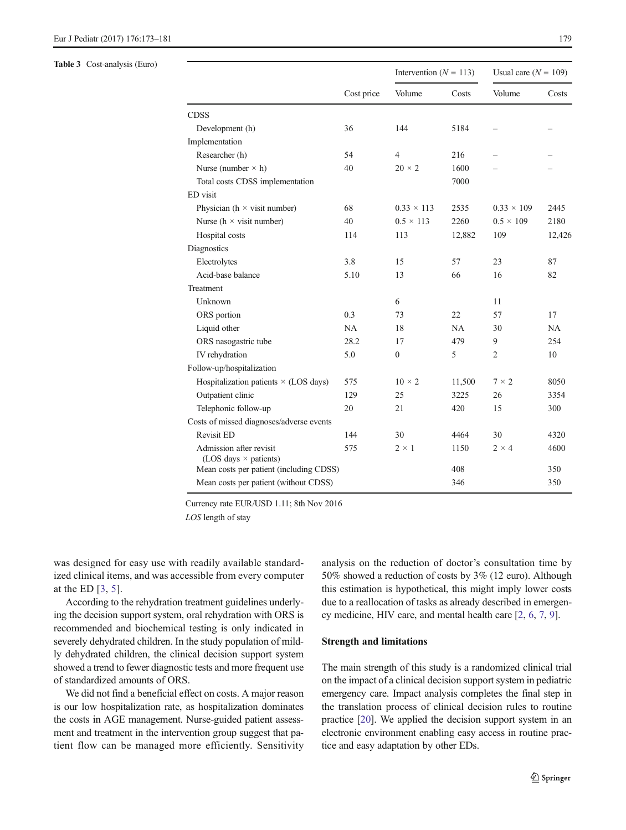#### <span id="page-6-0"></span>Table 3 Cost-analysis (Euro)

|                                                         | Cost price | Intervention ( $N = 113$ ) |           | Usual care $(N = 109)$ |        |
|---------------------------------------------------------|------------|----------------------------|-----------|------------------------|--------|
|                                                         |            | Volume                     | Costs     | Volume                 | Costs  |
| <b>CDSS</b>                                             |            |                            |           |                        |        |
| Development (h)                                         | 36         | 144                        | 5184      |                        |        |
| Implementation                                          |            |                            |           |                        |        |
| Researcher (h)                                          | 54         | $\overline{4}$             | 216       |                        |        |
| Nurse (number $\times$ h)                               | 40         | $20 \times 2$              | 1600      |                        |        |
| Total costs CDSS implementation                         |            |                            | 7000      |                        |        |
| ED visit                                                |            |                            |           |                        |        |
| Physician ( $h \times$ visit number)                    | 68         | $0.33 \times 113$          | 2535      | $0.33 \times 109$      | 2445   |
| Nurse ( $h \times$ visit number)                        | 40         | $0.5 \times 113$           | 2260      | $0.5 \times 109$       | 2180   |
| Hospital costs                                          | 114        | 113                        | 12,882    | 109                    | 12,426 |
| Diagnostics                                             |            |                            |           |                        |        |
| Electrolytes                                            | 3.8        | 15                         | 57        | 23                     | 87     |
| Acid-base balance                                       | 5.10       | 13                         | 66        | 16                     | 82     |
| Treatment                                               |            |                            |           |                        |        |
| Unknown                                                 |            | 6                          |           | 11                     |        |
| ORS portion                                             | 0.3        | 73                         | 22        | 57                     | 17     |
| Liquid other                                            | NA         | 18                         | <b>NA</b> | 30                     | NA     |
| ORS nasogastric tube                                    | 28.2       | 17                         | 479       | 9                      | 254    |
| IV rehydration                                          | 5.0        | $\overline{0}$             | 5         | $\overline{2}$         | 10     |
| Follow-up/hospitalization                               |            |                            |           |                        |        |
| Hospitalization patients $\times$ (LOS days)            | 575        | $10 \times 2$              | 11,500    | $7 \times 2$           | 8050   |
| Outpatient clinic                                       | 129        | 25                         | 3225      | 26                     | 3354   |
| Telephonic follow-up                                    | 20         | 21                         | 420       | 15                     | 300    |
| Costs of missed diagnoses/adverse events                |            |                            |           |                        |        |
| <b>Revisit ED</b>                                       | 144        | 30                         | 4464      | 30                     | 4320   |
| Admission after revisit<br>(LOS days $\times$ patients) | 575        | $2 \times 1$               | 1150      | $2 \times 4$           | 4600   |
| Mean costs per patient (including CDSS)                 |            |                            | 408       |                        | 350    |
| Mean costs per patient (without CDSS)                   |            |                            | 346       |                        | 350    |

Currency rate EUR/USD 1.11; 8th Nov 2016

LOS length of stay

was designed for easy use with readily available standardized clinical items, and was accessible from every computer at the ED [\[3,](#page-8-0) [5\]](#page-8-0).

According to the rehydration treatment guidelines underlying the decision support system, oral rehydration with ORS is recommended and biochemical testing is only indicated in severely dehydrated children. In the study population of mildly dehydrated children, the clinical decision support system showed a trend to fewer diagnostic tests and more frequent use of standardized amounts of ORS.

We did not find a beneficial effect on costs. A major reason is our low hospitalization rate, as hospitalization dominates the costs in AGE management. Nurse-guided patient assessment and treatment in the intervention group suggest that patient flow can be managed more efficiently. Sensitivity analysis on the reduction of doctor's consultation time by 50% showed a reduction of costs by 3% (12 euro). Although this estimation is hypothetical, this might imply lower costs due to a reallocation of tasks as already described in emergency medicine, HIV care, and mental health care [\[2,](#page-7-0) [6,](#page-8-0) [7,](#page-8-0) [9\]](#page-8-0).

#### Strength and limitations

The main strength of this study is a randomized clinical trial on the impact of a clinical decision support system in pediatric emergency care. Impact analysis completes the final step in the translation process of clinical decision rules to routine practice [\[20\]](#page-8-0). We applied the decision support system in an electronic environment enabling easy access in routine practice and easy adaptation by other EDs.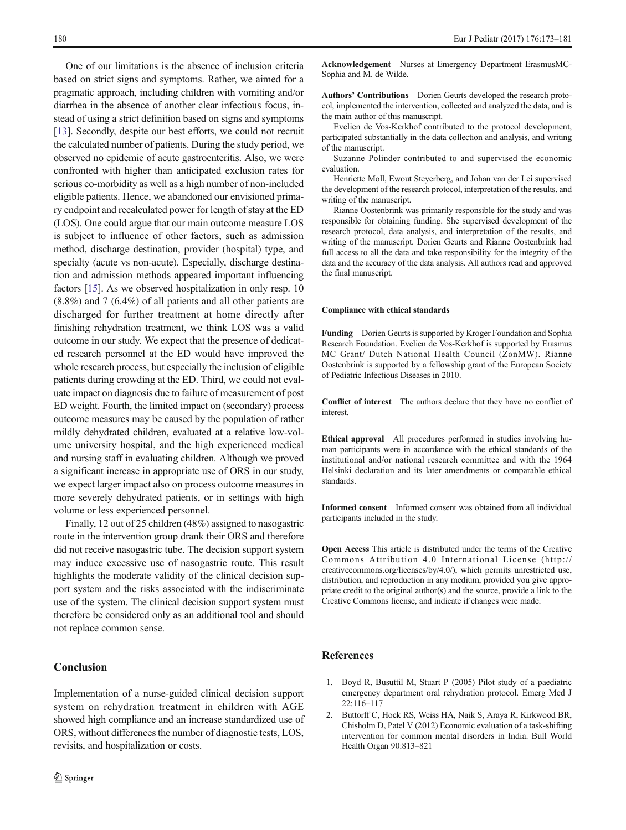<span id="page-7-0"></span>One of our limitations is the absence of inclusion criteria based on strict signs and symptoms. Rather, we aimed for a pragmatic approach, including children with vomiting and/or diarrhea in the absence of another clear infectious focus, instead of using a strict definition based on signs and symptoms [\[13\]](#page-8-0). Secondly, despite our best efforts, we could not recruit the calculated number of patients. During the study period, we observed no epidemic of acute gastroenteritis. Also, we were confronted with higher than anticipated exclusion rates for serious co-morbidity as well as a high number of non-included eligible patients. Hence, we abandoned our envisioned primary endpoint and recalculated power for length of stay at the ED (LOS). One could argue that our main outcome measure LOS is subject to influence of other factors, such as admission method, discharge destination, provider (hospital) type, and specialty (acute vs non-acute). Especially, discharge destination and admission methods appeared important influencing factors [\[15\]](#page-8-0). As we observed hospitalization in only resp. 10 (8.8%) and 7 (6.4%) of all patients and all other patients are discharged for further treatment at home directly after finishing rehydration treatment, we think LOS was a valid outcome in our study. We expect that the presence of dedicated research personnel at the ED would have improved the whole research process, but especially the inclusion of eligible patients during crowding at the ED. Third, we could not evaluate impact on diagnosis due to failure of measurement of post ED weight. Fourth, the limited impact on (secondary) process outcome measures may be caused by the population of rather mildly dehydrated children, evaluated at a relative low-volume university hospital, and the high experienced medical and nursing staff in evaluating children. Although we proved a significant increase in appropriate use of ORS in our study, we expect larger impact also on process outcome measures in more severely dehydrated patients, or in settings with high volume or less experienced personnel.

Finally, 12 out of 25 children (48%) assigned to nasogastric route in the intervention group drank their ORS and therefore did not receive nasogastric tube. The decision support system may induce excessive use of nasogastric route. This result highlights the moderate validity of the clinical decision support system and the risks associated with the indiscriminate use of the system. The clinical decision support system must therefore be considered only as an additional tool and should not replace common sense.

# Conclusion

Implementation of a nurse-guided clinical decision support system on rehydration treatment in children with AGE showed high compliance and an increase standardized use of ORS, without differences the number of diagnostic tests, LOS, revisits, and hospitalization or costs.

Acknowledgement Nurses at Emergency Department ErasmusMC-Sophia and M. de Wilde.

Authors' Contributions Dorien Geurts developed the research protocol, implemented the intervention, collected and analyzed the data, and is the main author of this manuscript.

Evelien de Vos-Kerkhof contributed to the protocol development, participated substantially in the data collection and analysis, and writing of the manuscript.

Suzanne Polinder contributed to and supervised the economic evaluation.

Henriette Moll, Ewout Steyerberg, and Johan van der Lei supervised the development of the research protocol, interpretation of the results, and writing of the manuscript.

Rianne Oostenbrink was primarily responsible for the study and was responsible for obtaining funding. She supervised development of the research protocol, data analysis, and interpretation of the results, and writing of the manuscript. Dorien Geurts and Rianne Oostenbrink had full access to all the data and take responsibility for the integrity of the data and the accuracy of the data analysis. All authors read and approved the final manuscript.

#### Compliance with ethical standards

Funding Dorien Geurts is supported by Kroger Foundation and Sophia Research Foundation. Evelien de Vos-Kerkhof is supported by Erasmus MC Grant/ Dutch National Health Council (ZonMW). Rianne Oostenbrink is supported by a fellowship grant of the European Society of Pediatric Infectious Diseases in 2010.

Conflict of interest The authors declare that they have no conflict of interest.

Ethical approval All procedures performed in studies involving human participants were in accordance with the ethical standards of the institutional and/or national research committee and with the 1964 Helsinki declaration and its later amendments or comparable ethical standards.

Informed consent Informed consent was obtained from all individual participants included in the study.

Open Access This article is distributed under the terms of the Creative Commons Attribution 4.0 International License (http:// creativecommons.org/licenses/by/4.0/), which permits unrestricted use, distribution, and reproduction in any medium, provided you give appropriate credit to the original author(s) and the source, provide a link to the Creative Commons license, and indicate if changes were made.

# References

- 1. Boyd R, Busuttil M, Stuart P (2005) Pilot study of a paediatric emergency department oral rehydration protocol. Emerg Med J 22:116–117
- 2. Buttorff C, Hock RS, Weiss HA, Naik S, Araya R, Kirkwood BR, Chisholm D, Patel V (2012) Economic evaluation of a task-shifting intervention for common mental disorders in India. Bull World Health Organ 90:813–821